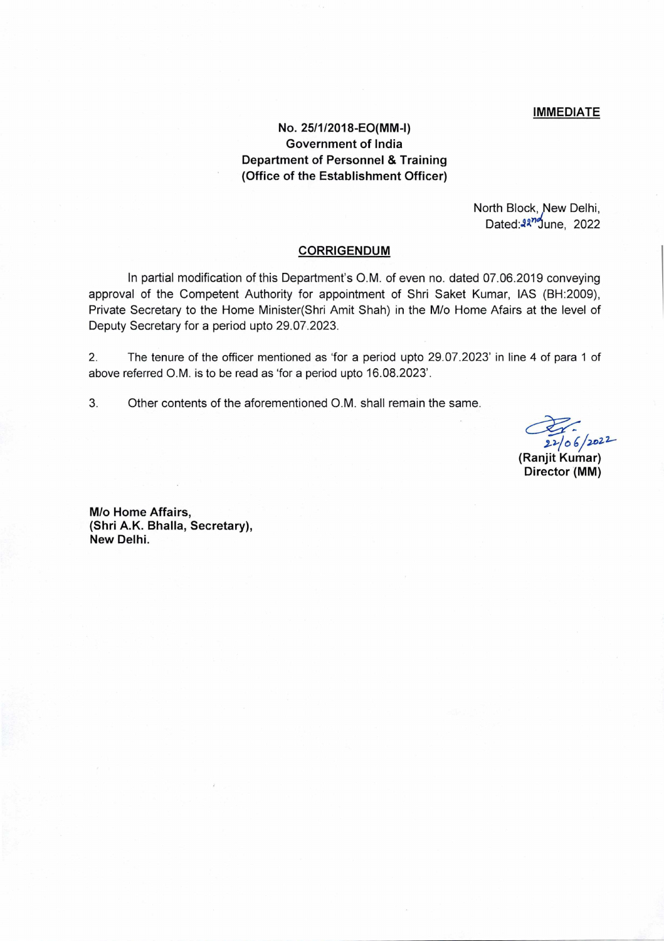# IMMEDIATE

# No. 25/1/2018-EO(MM-l) **Government of India Department of Personnel** & **Training (Office of the Establishment Officer)**

North Block, New Delhi, Dated:<sup>227</sup>June, 2022

# **CORRIGENDUM**

In partial modification of this Department's O.M. of even no. dated 07.06.2019 conveying approval of the Competent Authority for appointment of Shri Saket Kumar, lAS (BH:2009), Private Secretary to the Home Minister(Shri Amit Shah) in the M/o Home Afairs at the level of Deputy Secretary for a period upto 29.07.2023.

2. The tenure of the officer mentioned as 'for a period upto 29.07.2023' in line 4 of para 1 of above referred O.M. is to be read as 'for a period upto 16.08.2023'.

3. Other contents of the aforementioned O.M. shall remain the same.

 $22/06/2022$ **(Ranjit Kumar)** 

**Director (MM)** 

**M/o Home Affairs, (Shri A.K. Bhalla, Secretary), New Delhi.**